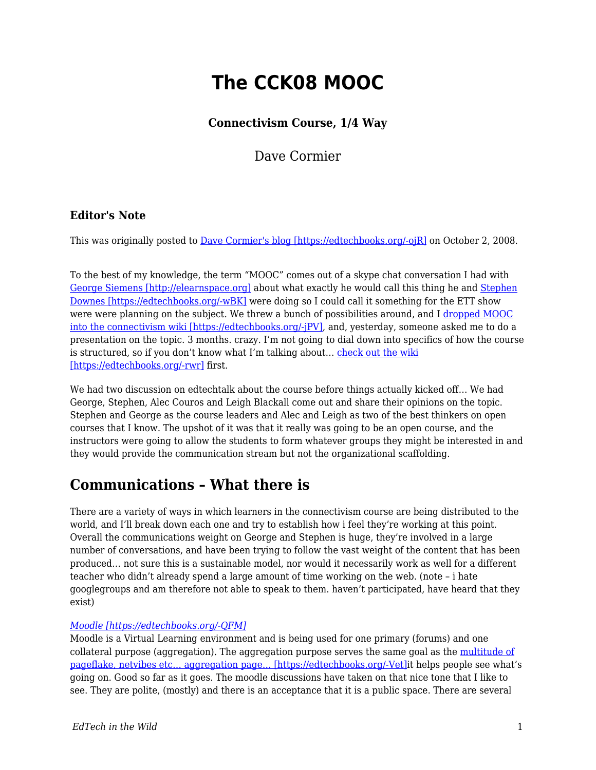# **The CCK08 MOOC**

### **Connectivism Course, 1/4 Way**

Dave Cormier

### **Editor's Note**

This was originally posted to [Dave Cormier's blog \[https://edtechbooks.org/-ojR\]](http://davecormier.com/edblog/2008/10/02/the-cck08-mooc-connectivism-course-14-way/) on October 2, 2008.

To the best of my knowledge, the term "MOOC" comes out of a skype chat conversation I had with [George Siemens \[http://elearnspace.org\]](http://elearnspace.org) about what exactly he would call this thing he and [Stephen](http://halfanhour.blogspot.com/) [Downes \[https://edtechbooks.org/-wBK\]](http://halfanhour.blogspot.com/) were doing so I could call it something for the ETT show were were planning on the subject. We threw a bunch of possibilities around, and I [dropped MOOC](http://ltc.umanitoba.ca:83/wiki/index.php?title=Connectivism_Planning_Page&diff=18531&oldid=18347) [into the connectivism wiki \[https://edtechbooks.org/-jPV\],](http://ltc.umanitoba.ca:83/wiki/index.php?title=Connectivism_Planning_Page&diff=18531&oldid=18347) and, yesterday, someone asked me to do a presentation on the topic. 3 months. crazy. I'm not going to dial down into specifics of how the course is structured, so if you don't know what I'm talking about... [check out the wiki](http://ltc.umanitoba.ca:83/wiki/Connectivism) [\[https://edtechbooks.org/-rwr\]](http://ltc.umanitoba.ca:83/wiki/Connectivism) first.

We had two discussion on edtechtalk about the course before things actually kicked off… We had George, Stephen, Alec Couros and Leigh Blackall come out and share their opinions on the topic. Stephen and George as the course leaders and Alec and Leigh as two of the best thinkers on open courses that I know. The upshot of it was that it really was going to be an open course, and the instructors were going to allow the students to form whatever groups they might be interested in and they would provide the communication stream but not the organizational scaffolding.

## **Communications – What there is**

There are a variety of ways in which learners in the connectivism course are being distributed to the world, and I'll break down each one and try to establish how i feel they're working at this point. Overall the communications weight on George and Stephen is huge, they're involved in a large number of conversations, and have been trying to follow the vast weight of the content that has been produced… not sure this is a sustainable model, nor would it necessarily work as well for a different teacher who didn't already spend a large amount of time working on the web. (note – i hate googlegroups and am therefore not able to speak to them. haven't participated, have heard that they exist)

#### *[Moodle \[https://edtechbooks.org/-QFM\]](http://ltc.umanitoba.ca/moodle/course/view.php?id=20)*

Moodle is a Virtual Learning environment and is being used for one primary (forums) and one collateral purpose (aggregation). The aggregation purpose serves the same goal as the [multitude of](http://ltc.umanitoba.ca/connectivism/?page_id=13) [pageflake, netvibes etc… aggregation page… \[https://edtechbooks.org/-Vet\]](http://ltc.umanitoba.ca/connectivism/?page_id=13)it helps people see what's going on. Good so far as it goes. The moodle discussions have taken on that nice tone that I like to see. They are polite, (mostly) and there is an acceptance that it is a public space. There are several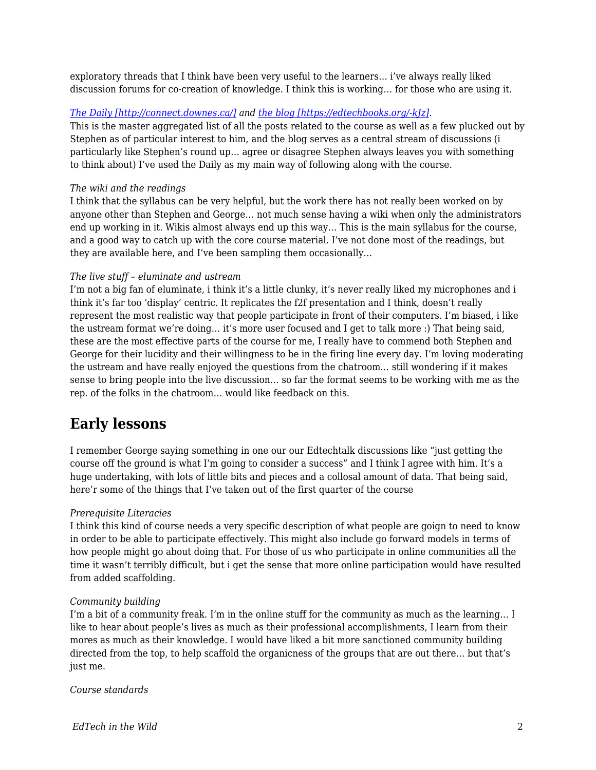exploratory threads that I think have been very useful to the learners… i've always really liked discussion forums for co-creation of knowledge. I think this is working… for those who are using it.

#### *[The Daily \[http://connect.downes.ca/\]](http://connect.downes.ca/) and [the blog \[https://edtechbooks.org/-kJz\]](http://ltc.umanitoba.ca/connectivism/).*

This is the master aggregated list of all the posts related to the course as well as a few plucked out by Stephen as of particular interest to him, and the blog serves as a central stream of discussions (i particularly like Stephen's round up… agree or disagree Stephen always leaves you with something to think about) I've used the Daily as my main way of following along with the course.

#### *The wiki and the readings*

I think that the syllabus can be very helpful, but the work there has not really been worked on by anyone other than Stephen and George… not much sense having a wiki when only the administrators end up working in it. Wikis almost always end up this way… This is the main syllabus for the course, and a good way to catch up with the core course material. I've not done most of the readings, but they are available here, and I've been sampling them occasionally…

#### *The live stuff – eluminate and ustream*

I'm not a big fan of eluminate, i think it's a little clunky, it's never really liked my microphones and i think it's far too 'display' centric. It replicates the f2f presentation and I think, doesn't really represent the most realistic way that people participate in front of their computers. I'm biased, i like the ustream format we're doing… it's more user focused and I get to talk more :) That being said, these are the most effective parts of the course for me, I really have to commend both Stephen and George for their lucidity and their willingness to be in the firing line every day. I'm loving moderating the ustream and have really enjoyed the questions from the chatroom… still wondering if it makes sense to bring people into the live discussion… so far the format seems to be working with me as the rep. of the folks in the chatroom… would like feedback on this.

### **Early lessons**

I remember George saying something in one our our Edtechtalk discussions like "just getting the course off the ground is what I'm going to consider a success" and I think I agree with him. It's a huge undertaking, with lots of little bits and pieces and a collosal amount of data. That being said, here'r some of the things that I've taken out of the first quarter of the course

#### *Prerequisite Literacies*

I think this kind of course needs a very specific description of what people are goign to need to know in order to be able to participate effectively. This might also include go forward models in terms of how people might go about doing that. For those of us who participate in online communities all the time it wasn't terribly difficult, but i get the sense that more online participation would have resulted from added scaffolding.

#### *Community building*

I'm a bit of a community freak. I'm in the online stuff for the community as much as the learning… I like to hear about people's lives as much as their professional accomplishments, I learn from their mores as much as their knowledge. I would have liked a bit more sanctioned community building directed from the top, to help scaffold the organicness of the groups that are out there… but that's just me.

*Course standards*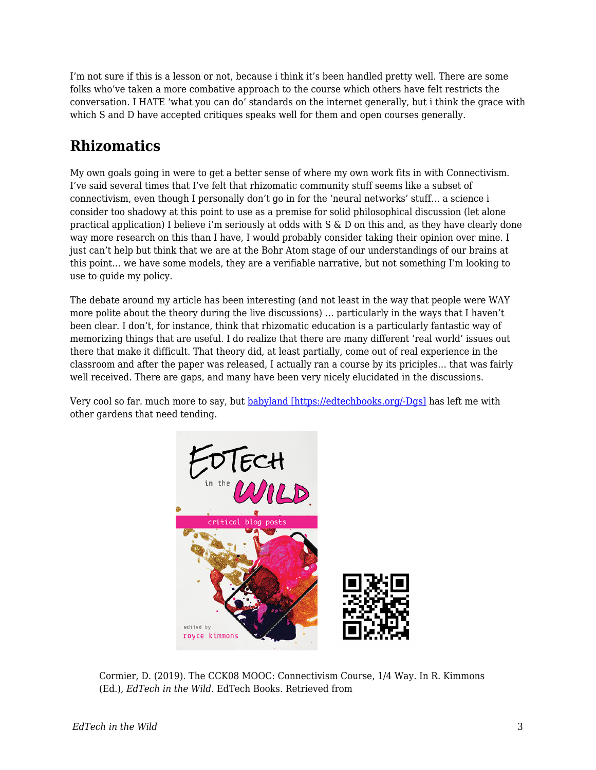I'm not sure if this is a lesson or not, because i think it's been handled pretty well. There are some folks who've taken a more combative approach to the course which others have felt restricts the conversation. I HATE 'what you can do' standards on the internet generally, but i think the grace with which S and D have accepted critiques speaks well for them and open courses generally.

# **Rhizomatics**

My own goals going in were to get a better sense of where my own work fits in with Connectivism. I've said several times that I've felt that rhizomatic community stuff seems like a subset of connectivism, even though I personally don't go in for the 'neural networks' stuff… a science i consider too shadowy at this point to use as a premise for solid philosophical discussion (let alone practical application) I believe i'm seriously at odds with S & D on this and, as they have clearly done way more research on this than I have, I would probably consider taking their opinion over mine. I just can't help but think that we are at the Bohr Atom stage of our understandings of our brains at this point… we have some models, they are a verifiable narrative, but not something I'm looking to use to guide my policy.

The debate around my article has been interesting (and not least in the way that people were WAY more polite about the theory during the live discussions) … particularly in the ways that I haven't been clear. I don't, for instance, think that rhizomatic education is a particularly fantastic way of memorizing things that are useful. I do realize that there are many different 'real world' issues out there that make it difficult. That theory did, at least partially, come out of real experience in the classroom and after the paper was released, I actually ran a course by its priciples… that was fairly well received. There are gaps, and many have been very nicely elucidated in the discussions.

Very cool so far. much more to say, but [babyland \[https://edtechbooks.org/-Dgs\]](http://flickr.com/photos/opoe/2867111729/in/set-72157607334596719/) has left me with other gardens that need tending.



Cormier, D. (2019). The CCK08 MOOC: Connectivism Course, 1/4 Way. In R. Kimmons (Ed.), *EdTech in the Wild*. EdTech Books. Retrieved from